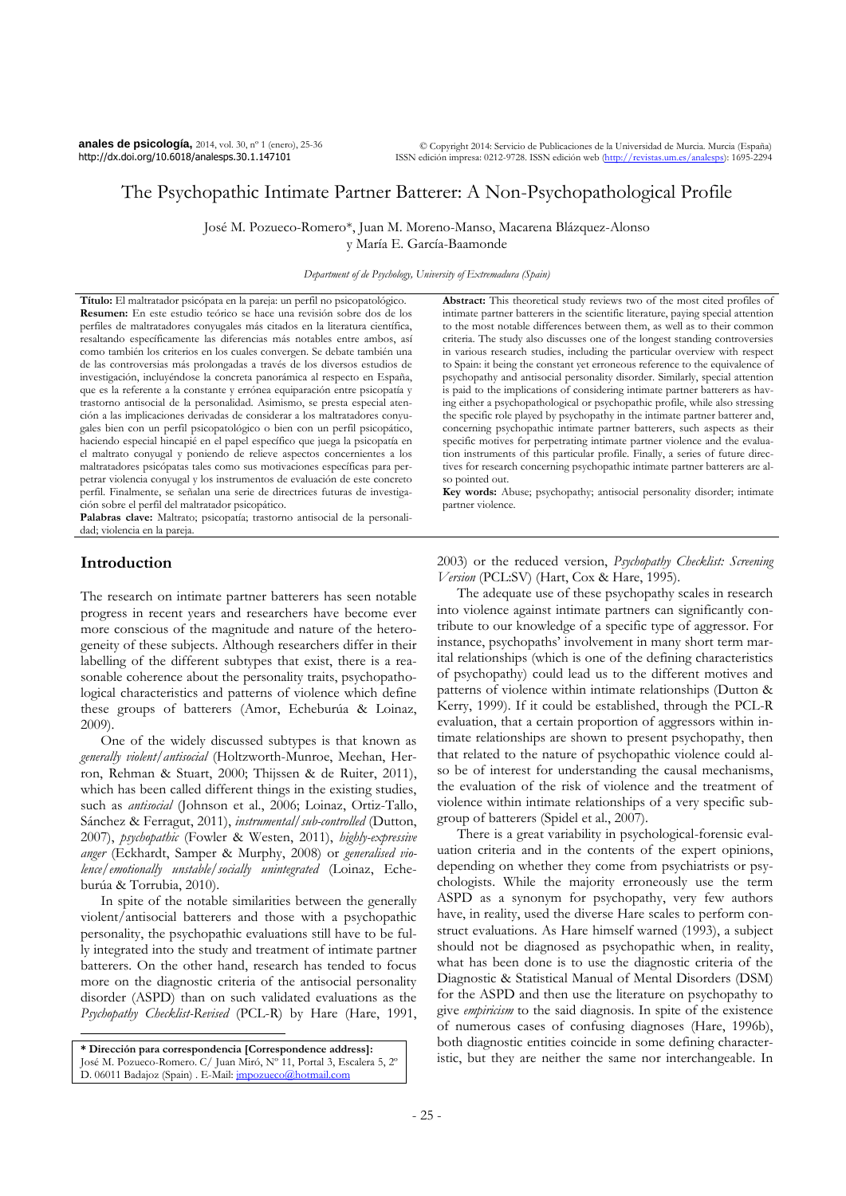**anales de psicología,** 2014, vol. 30, nº 1 (enero), 25-36 http://dx.doi.org/10.6018/analesps.30.1.147101

# The Psychopathic Intimate Partner Batterer: A Non-Psychopathological Profile

José M. Pozueco-Romero\*, Juan M. Moreno-Manso, Macarena Blázquez-Alonso y María E. García-Baamonde

*Department of de Psychology, University of Extremadura (Spain)*

**Título:** El maltratador psicópata en la pareja: un perfil no psicopatológico. **Resumen:** En este estudio teórico se hace una revisión sobre dos de los perfiles de maltratadores conyugales más citados en la literatura científica, resaltando específicamente las diferencias más notables entre ambos, así como también los criterios en los cuales convergen. Se debate también una de las controversias más prolongadas a través de los diversos estudios de investigación, incluyéndose la concreta panorámica al respecto en España, que es la referente a la constante y errónea equiparación entre psicopatía y trastorno antisocial de la personalidad. Asimismo, se presta especial atención a las implicaciones derivadas de considerar a los maltratadores conyugales bien con un perfil psicopatológico o bien con un perfil psicopático, haciendo especial hincapié en el papel específico que juega la psicopatía en el maltrato conyugal y poniendo de relieve aspectos concernientes a los maltratadores psicópatas tales como sus motivaciones específicas para perpetrar violencia conyugal y los instrumentos de evaluación de este concreto perfil. Finalmente, se señalan una serie de directrices futuras de investigación sobre el perfil del maltratador psicopático.

**Palabras clave:** Maltrato; psicopatía; trastorno antisocial de la personalidad; violencia en la pareja.

### **Introduction**

 $\overline{a}$ 

The research on intimate partner batterers has seen notable progress in recent years and researchers have become ever more conscious of the magnitude and nature of the heterogeneity of these subjects. Although researchers differ in their labelling of the different subtypes that exist, there is a reasonable coherence about the personality traits, psychopathological characteristics and patterns of violence which define these groups of batterers (Amor, Echeburúa & Loinaz, 2009).

One of the widely discussed subtypes is that known as *generally violent/antisocial* (Holtzworth-Munroe, Meehan, Herron, Rehman & Stuart, 2000; Thijssen & de Ruiter, 2011), which has been called different things in the existing studies, such as *antisocial* (Johnson et al., 2006; Loinaz, Ortiz-Tallo, Sánchez & Ferragut, 2011), *instrumental/sub-controlled* (Dutton, 2007), *psychopathic* (Fowler & Westen, 2011), *highly-expressive anger* (Eckhardt, Samper & Murphy, 2008) or *generalised violence/emotionally unstable/socially unintegrated* (Loinaz, Echeburúa & Torrubia, 2010).

In spite of the notable similarities between the generally violent/antisocial batterers and those with a psychopathic personality, the psychopathic evaluations still have to be fully integrated into the study and treatment of intimate partner batterers. On the other hand, research has tended to focus more on the diagnostic criteria of the antisocial personality disorder (ASPD) than on such validated evaluations as the *Psychopathy Checklist-Revised* (PCL-R) by Hare (Hare, 1991,

**\* Dirección para correspondencia [Correspondence address]:**  José M. Pozueco-Romero. C/ Juan Miró, Nº 11, Portal 3, Escalera 5, 2º D. 06011 Badajoz (Spain) . E-Mail[: jmpozueco@hotmail.com](mailto:jmpozueco@hotmail.com)

**Abstract:** This theoretical study reviews two of the most cited profiles of intimate partner batterers in the scientific literature, paying special attention to the most notable differences between them, as well as to their common criteria. The study also discusses one of the longest standing controversies in various research studies, including the particular overview with respect to Spain: it being the constant yet erroneous reference to the equivalence of psychopathy and antisocial personality disorder. Similarly, special attention is paid to the implications of considering intimate partner batterers as having either a psychopathological or psychopathic profile, while also stressing the specific role played by psychopathy in the intimate partner batterer and, concerning psychopathic intimate partner batterers, such aspects as their specific motives for perpetrating intimate partner violence and the evaluation instruments of this particular profile. Finally, a series of future directives for research concerning psychopathic intimate partner batterers are also pointed out.

**Key words:** Abuse; psychopathy; antisocial personality disorder; intimate partner violence.

2003) or the reduced version, *Psychopathy Checklist: Screening Version* (PCL:SV) (Hart, Cox & Hare, 1995).

The adequate use of these psychopathy scales in research into violence against intimate partners can significantly contribute to our knowledge of a specific type of aggressor. For instance, psychopaths' involvement in many short term marital relationships (which is one of the defining characteristics of psychopathy) could lead us to the different motives and patterns of violence within intimate relationships (Dutton & Kerry, 1999). If it could be established, through the PCL-R evaluation, that a certain proportion of aggressors within intimate relationships are shown to present psychopathy, then that related to the nature of psychopathic violence could also be of interest for understanding the causal mechanisms, the evaluation of the risk of violence and the treatment of violence within intimate relationships of a very specific subgroup of batterers (Spidel et al., 2007).

There is a great variability in psychological-forensic evaluation criteria and in the contents of the expert opinions, depending on whether they come from psychiatrists or psychologists. While the majority erroneously use the term ASPD as a synonym for psychopathy, very few authors have, in reality, used the diverse Hare scales to perform construct evaluations. As Hare himself warned (1993), a subject should not be diagnosed as psychopathic when, in reality, what has been done is to use the diagnostic criteria of the Diagnostic & Statistical Manual of Mental Disorders (DSM) for the ASPD and then use the literature on psychopathy to give *empiricism* to the said diagnosis. In spite of the existence of numerous cases of confusing diagnoses (Hare, 1996b), both diagnostic entities coincide in some defining characteristic, but they are neither the same nor interchangeable. In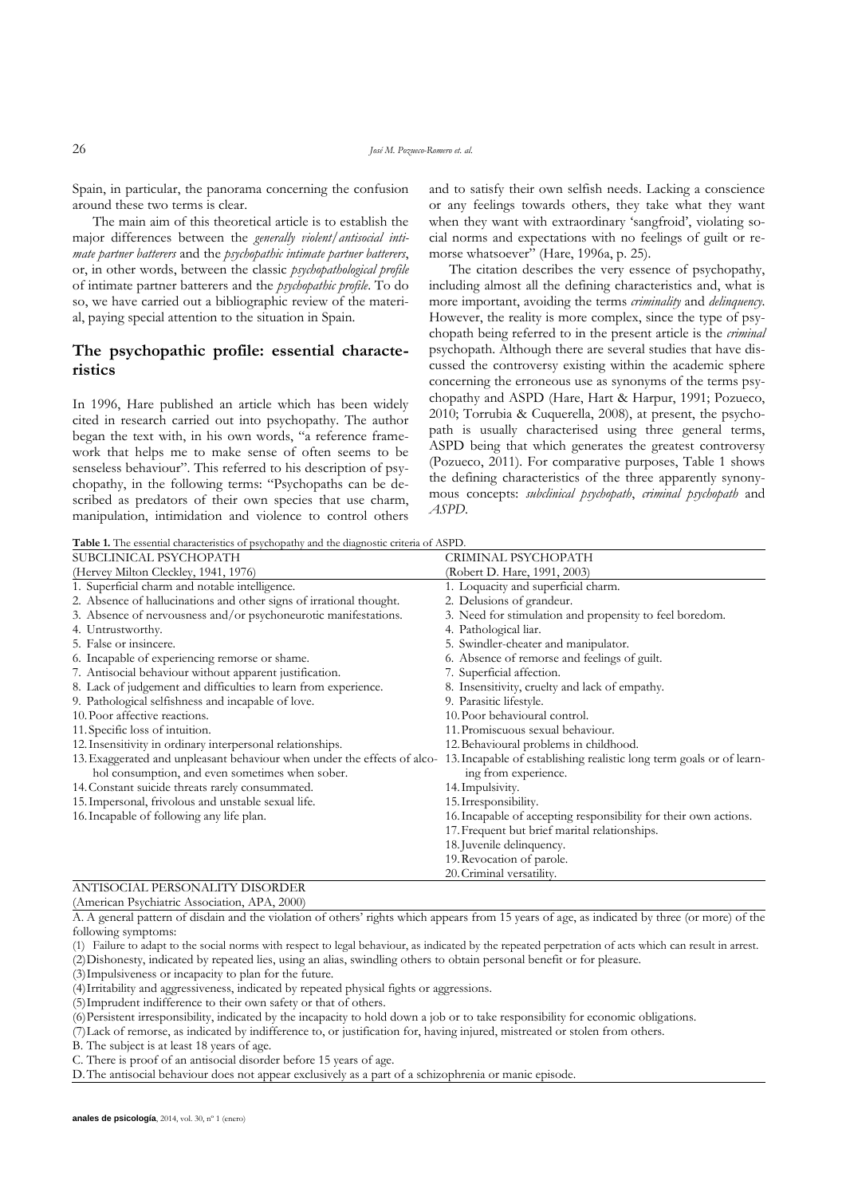Spain, in particular, the panorama concerning the confusion around these two terms is clear.

The main aim of this theoretical article is to establish the major differences between the *generally violent/antisocial intimate partner batterers* and the *psychopathic intimate partner batterers*, or, in other words, between the classic *psychopathological profile*  of intimate partner batterers and the *psychopathic profile*. To do so, we have carried out a bibliographic review of the material, paying special attention to the situation in Spain.

# **The psychopathic profile: essential characteristics**

In 1996, Hare published an article which has been widely cited in research carried out into psychopathy. The author began the text with, in his own words, "a reference framework that helps me to make sense of often seems to be senseless behaviour". This referred to his description of psychopathy, in the following terms: "Psychopaths can be described as predators of their own species that use charm, manipulation, intimidation and violence to control others

and to satisfy their own selfish needs. Lacking a conscience or any feelings towards others, they take what they want when they want with extraordinary 'sangfroid', violating social norms and expectations with no feelings of guilt or remorse whatsoever" (Hare, 1996a, p. 25).

The citation describes the very essence of psychopathy, including almost all the defining characteristics and, what is more important, avoiding the terms *criminality* and *delinquency*. However, the reality is more complex, since the type of psychopath being referred to in the present article is the *criminal* psychopath. Although there are several studies that have discussed the controversy existing within the academic sphere concerning the erroneous use as synonyms of the terms psychopathy and ASPD (Hare, Hart & Harpur, 1991; Pozueco, 2010; Torrubia & Cuquerella, 2008), at present, the psychopath is usually characterised using three general terms, ASPD being that which generates the greatest controversy (Pozueco, 2011). For comparative purposes, Table 1 shows the defining characteristics of the three apparently synonymous concepts: *subclinical psychopath*, *criminal psychopath* and *ASPD*.

**Table 1.** The essential characteristics of psychopathy and the diagnostic criteria of ASPD.

| <b>Table 1.</b> The essential characteristics of psychopathy and the diagnostic criteria of ASPD. |                                                                      |
|---------------------------------------------------------------------------------------------------|----------------------------------------------------------------------|
| SUBCLINICAL PSYCHOPATH                                                                            | CRIMINAL PSYCHOPATH                                                  |
| (Hervey Milton Cleckley, 1941, 1976)                                                              | (Robert D. Hare, 1991, 2003)                                         |
| 1. Superficial charm and notable intelligence.                                                    | 1. Loquacity and superficial charm.                                  |
| 2. Absence of hallucinations and other signs of irrational thought.                               | 2. Delusions of grandeur.                                            |
| 3. Absence of nervousness and/or psychoneurotic manifestations.                                   | 3. Need for stimulation and propensity to feel boredom.              |
| 4. Untrustworthy.                                                                                 | 4. Pathological liar.                                                |
| 5. False or insincere.                                                                            | 5. Swindler-cheater and manipulator.                                 |
| 6. Incapable of experiencing remorse or shame.                                                    | 6. Absence of remorse and feelings of guilt.                         |
| 7. Antisocial behaviour without apparent justification.                                           | 7. Superficial affection.                                            |
| 8. Lack of judgement and difficulties to learn from experience.                                   | 8. Insensitivity, cruelty and lack of empathy.                       |
| 9. Pathological selfishness and incapable of love.                                                | 9. Parasitic lifestyle.                                              |
| 10. Poor affective reactions.                                                                     | 10. Poor behavioural control.                                        |
| 11. Specific loss of intuition.                                                                   | 11. Promiscuous sexual behaviour.                                    |
| 12. Insensitivity in ordinary interpersonal relationships.                                        | 12. Behavioural problems in childhood.                               |
| 13. Exaggerated and unpleasant behaviour when under the effects of alco-                          | 13. Incapable of establishing realistic long term goals or of learn- |
| hol consumption, and even sometimes when sober.                                                   | ing from experience.                                                 |
| 14. Constant suicide threats rarely consummated.                                                  | 14. Impulsivity.                                                     |
| 15. Impersonal, frivolous and unstable sexual life.                                               | 15. Irresponsibility.                                                |
| 16. Incapable of following any life plan.                                                         | 16. Incapable of accepting responsibility for their own actions.     |
|                                                                                                   | 17. Frequent but brief marital relationships.                        |
|                                                                                                   | 18. Juvenile delinquency.                                            |
|                                                                                                   | 19. Revocation of parole.                                            |
|                                                                                                   | 20. Criminal versatility.                                            |
| ANTISOCIAL PERSONALITY DISORDER                                                                   |                                                                      |

(American Psychiatric Association, APA, 2000)

A. A general pattern of disdain and the violation of others" rights which appears from 15 years of age, as indicated by three (or more) of the following symptoms:

(1) Failure to adapt to the social norms with respect to legal behaviour, as indicated by the repeated perpetration of acts which can result in arrest.

(2)Dishonesty, indicated by repeated lies, using an alias, swindling others to obtain personal benefit or for pleasure. (3)Impulsiveness or incapacity to plan for the future.

(4)Irritability and aggressiveness, indicated by repeated physical fights or aggressions.

(5)Imprudent indifference to their own safety or that of others.

(6)Persistent irresponsibility, indicated by the incapacity to hold down a job or to take responsibility for economic obligations.

(7)Lack of remorse, as indicated by indifference to, or justification for, having injured, mistreated or stolen from others.

B. The subject is at least 18 years of age.

C. There is proof of an antisocial disorder before 15 years of age.

D.The antisocial behaviour does not appear exclusively as a part of a schizophrenia or manic episode.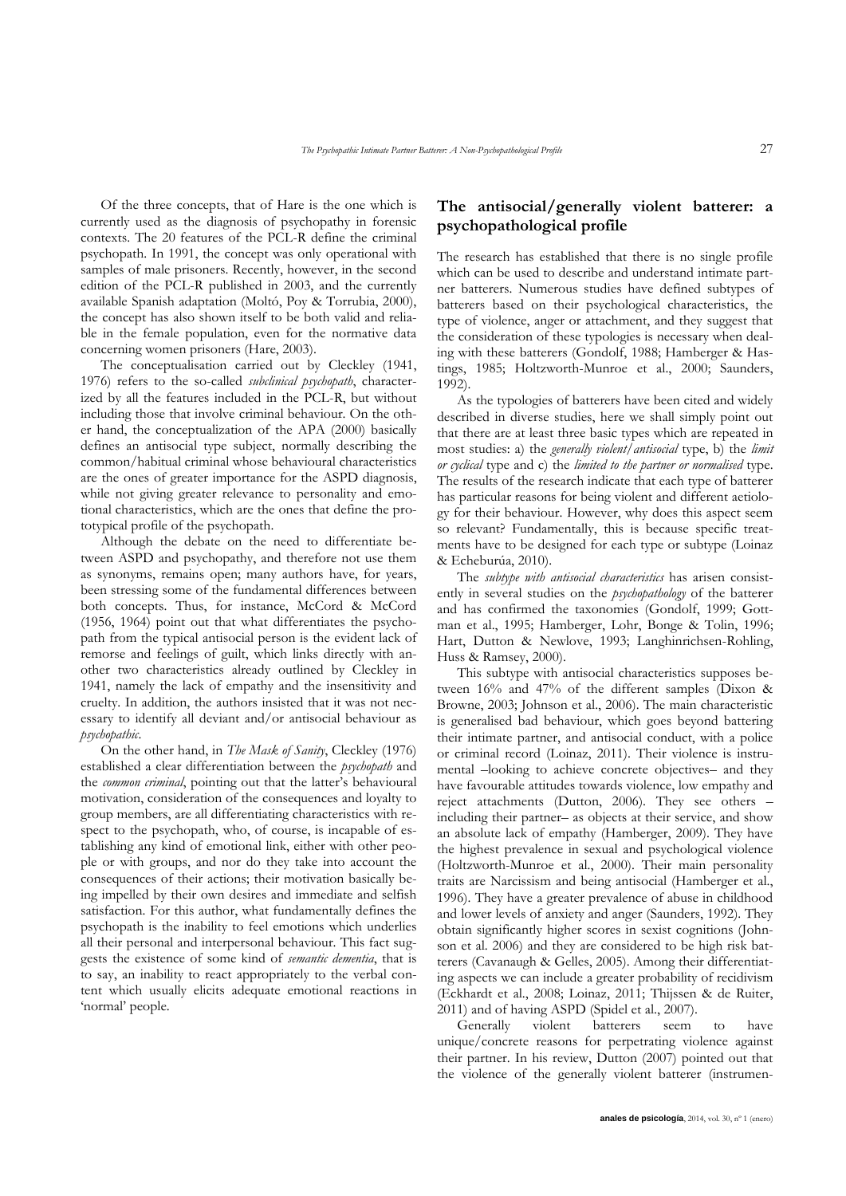Of the three concepts, that of Hare is the one which is currently used as the diagnosis of psychopathy in forensic contexts. The 20 features of the PCL-R define the criminal psychopath. In 1991, the concept was only operational with samples of male prisoners. Recently, however, in the second edition of the PCL-R published in 2003, and the currently available Spanish adaptation (Moltó, Poy & Torrubia, 2000), the concept has also shown itself to be both valid and reliable in the female population, even for the normative data concerning women prisoners (Hare, 2003).

The conceptualisation carried out by Cleckley (1941, 1976) refers to the so-called *subclinical psychopath*, characterized by all the features included in the PCL-R, but without including those that involve criminal behaviour. On the other hand, the conceptualization of the APA (2000) basically defines an antisocial type subject, normally describing the common/habitual criminal whose behavioural characteristics are the ones of greater importance for the ASPD diagnosis, while not giving greater relevance to personality and emotional characteristics, which are the ones that define the prototypical profile of the psychopath.

Although the debate on the need to differentiate between ASPD and psychopathy, and therefore not use them as synonyms, remains open; many authors have, for years, been stressing some of the fundamental differences between both concepts. Thus, for instance, McCord & McCord (1956, 1964) point out that what differentiates the psychopath from the typical antisocial person is the evident lack of remorse and feelings of guilt, which links directly with another two characteristics already outlined by Cleckley in 1941, namely the lack of empathy and the insensitivity and cruelty. In addition, the authors insisted that it was not necessary to identify all deviant and/or antisocial behaviour as *psychopathic*.

On the other hand, in *The Mask of Sanity*, Cleckley (1976) established a clear differentiation between the *psychopath* and the *common criminal*, pointing out that the latter's behavioural motivation, consideration of the consequences and loyalty to group members, are all differentiating characteristics with respect to the psychopath, who, of course, is incapable of establishing any kind of emotional link, either with other people or with groups, and nor do they take into account the consequences of their actions; their motivation basically being impelled by their own desires and immediate and selfish satisfaction. For this author, what fundamentally defines the psychopath is the inability to feel emotions which underlies all their personal and interpersonal behaviour. This fact suggests the existence of some kind of *semantic dementia*, that is to say, an inability to react appropriately to the verbal content which usually elicits adequate emotional reactions in 'normal' people.

# **The antisocial/generally violent batterer: a psychopathological profile**

The research has established that there is no single profile which can be used to describe and understand intimate partner batterers. Numerous studies have defined subtypes of batterers based on their psychological characteristics, the type of violence, anger or attachment, and they suggest that the consideration of these typologies is necessary when dealing with these batterers (Gondolf, 1988; Hamberger & Hastings, 1985; Holtzworth-Munroe et al., 2000; Saunders, 1992).

As the typologies of batterers have been cited and widely described in diverse studies, here we shall simply point out that there are at least three basic types which are repeated in most studies: a) the *generally violent/antisocial* type, b) the *limit or cyclical* type and c) the *limited to the partner or normalised* type. The results of the research indicate that each type of batterer has particular reasons for being violent and different aetiology for their behaviour. However, why does this aspect seem so relevant? Fundamentally, this is because specific treatments have to be designed for each type or subtype (Loinaz & Echeburúa, 2010).

The *subtype with antisocial characteristics* has arisen consistently in several studies on the *psychopathology* of the batterer and has confirmed the taxonomies (Gondolf, 1999; Gottman et al., 1995; Hamberger, Lohr, Bonge & Tolin, 1996; Hart, Dutton & Newlove, 1993; Langhinrichsen-Rohling, Huss & Ramsey, 2000).

This subtype with antisocial characteristics supposes between 16% and 47% of the different samples (Dixon & Browne, 2003; Johnson et al., 2006). The main characteristic is generalised bad behaviour, which goes beyond battering their intimate partner, and antisocial conduct, with a police or criminal record (Loinaz, 2011). Their violence is instrumental –looking to achieve concrete objectives– and they have favourable attitudes towards violence, low empathy and reject attachments (Dutton, 2006). They see others – including their partner– as objects at their service, and show an absolute lack of empathy (Hamberger, 2009). They have the highest prevalence in sexual and psychological violence (Holtzworth-Munroe et al., 2000). Their main personality traits are Narcissism and being antisocial (Hamberger et al., 1996). They have a greater prevalence of abuse in childhood and lower levels of anxiety and anger (Saunders, 1992). They obtain significantly higher scores in sexist cognitions (Johnson et al. 2006) and they are considered to be high risk batterers (Cavanaugh & Gelles, 2005). Among their differentiating aspects we can include a greater probability of recidivism (Eckhardt et al., 2008; Loinaz, 2011; Thijssen & de Ruiter, 2011) and of having ASPD (Spidel et al., 2007).

Generally violent batterers seem to have unique/concrete reasons for perpetrating violence against their partner. In his review, Dutton (2007) pointed out that the violence of the generally violent batterer (instrumen-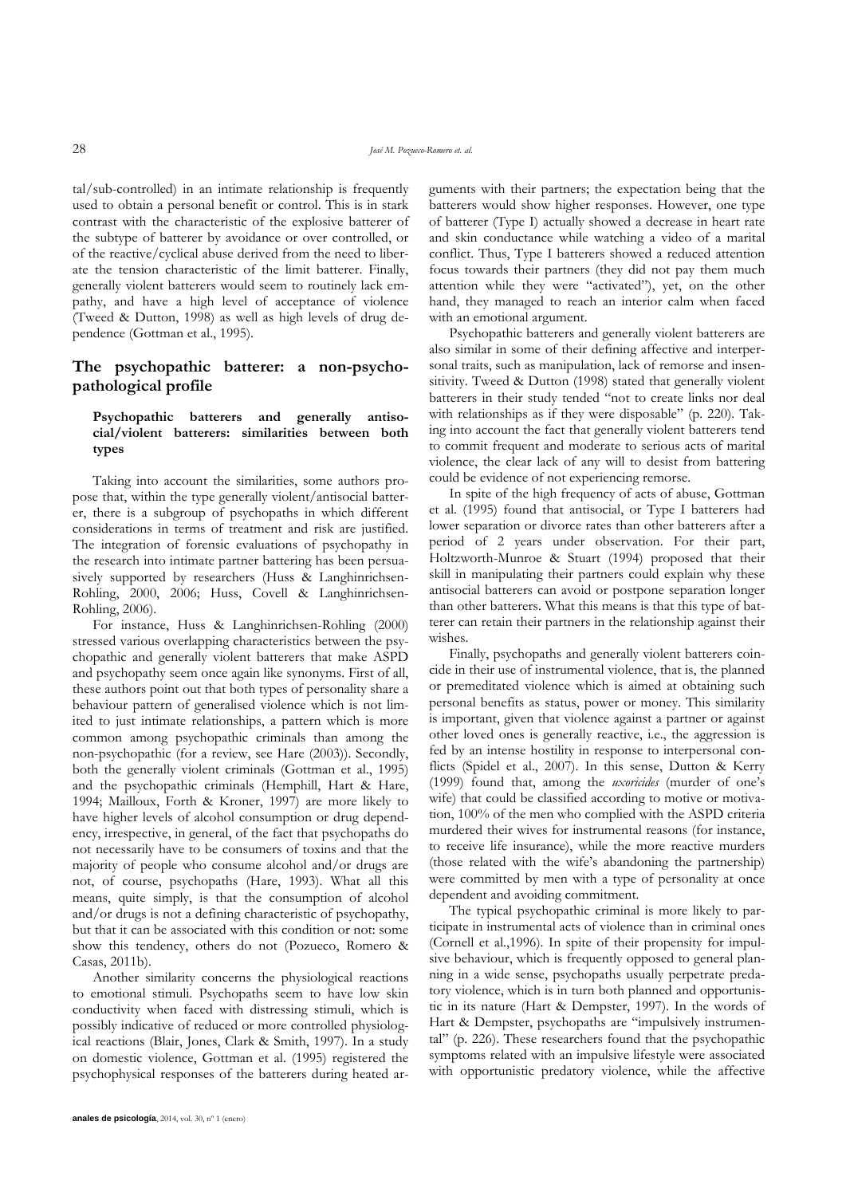tal/sub-controlled) in an intimate relationship is frequently used to obtain a personal benefit or control. This is in stark contrast with the characteristic of the explosive batterer of the subtype of batterer by avoidance or over controlled, or of the reactive/cyclical abuse derived from the need to liberate the tension characteristic of the limit batterer. Finally, generally violent batterers would seem to routinely lack empathy, and have a high level of acceptance of violence (Tweed & Dutton, 1998) as well as high levels of drug dependence (Gottman et al., 1995).

# **The psychopathic batterer: a non-psychopathological profile**

#### **Psychopathic batterers and generally antisocial/violent batterers: similarities between both types**

Taking into account the similarities, some authors propose that, within the type generally violent/antisocial batterer, there is a subgroup of psychopaths in which different considerations in terms of treatment and risk are justified. The integration of forensic evaluations of psychopathy in the research into intimate partner battering has been persuasively supported by researchers (Huss & Langhinrichsen-Rohling, 2000, 2006; Huss, Covell & Langhinrichsen-Rohling, 2006).

For instance, Huss & Langhinrichsen-Rohling (2000) stressed various overlapping characteristics between the psychopathic and generally violent batterers that make ASPD and psychopathy seem once again like synonyms. First of all, these authors point out that both types of personality share a behaviour pattern of generalised violence which is not limited to just intimate relationships, a pattern which is more common among psychopathic criminals than among the non-psychopathic (for a review, see Hare (2003)). Secondly, both the generally violent criminals (Gottman et al., 1995) and the psychopathic criminals (Hemphill, Hart & Hare, 1994; Mailloux, Forth & Kroner, 1997) are more likely to have higher levels of alcohol consumption or drug dependency, irrespective, in general, of the fact that psychopaths do not necessarily have to be consumers of toxins and that the majority of people who consume alcohol and/or drugs are not, of course, psychopaths (Hare, 1993). What all this means, quite simply, is that the consumption of alcohol and/or drugs is not a defining characteristic of psychopathy, but that it can be associated with this condition or not: some show this tendency, others do not (Pozueco, Romero & Casas, 2011b).

Another similarity concerns the physiological reactions to emotional stimuli. Psychopaths seem to have low skin conductivity when faced with distressing stimuli, which is possibly indicative of reduced or more controlled physiological reactions (Blair, Jones, Clark & Smith, 1997). In a study on domestic violence, Gottman et al. (1995) registered the psychophysical responses of the batterers during heated arguments with their partners; the expectation being that the batterers would show higher responses. However, one type of batterer (Type I) actually showed a decrease in heart rate and skin conductance while watching a video of a marital conflict. Thus, Type I batterers showed a reduced attention focus towards their partners (they did not pay them much attention while they were "activated"), yet, on the other hand, they managed to reach an interior calm when faced with an emotional argument.

Psychopathic batterers and generally violent batterers are also similar in some of their defining affective and interpersonal traits, such as manipulation, lack of remorse and insensitivity. Tweed & Dutton (1998) stated that generally violent batterers in their study tended "not to create links nor deal with relationships as if they were disposable" (p. 220). Taking into account the fact that generally violent batterers tend to commit frequent and moderate to serious acts of marital violence, the clear lack of any will to desist from battering could be evidence of not experiencing remorse.

In spite of the high frequency of acts of abuse, Gottman et al. (1995) found that antisocial, or Type I batterers had lower separation or divorce rates than other batterers after a period of 2 years under observation. For their part, Holtzworth-Munroe & Stuart (1994) proposed that their skill in manipulating their partners could explain why these antisocial batterers can avoid or postpone separation longer than other batterers. What this means is that this type of batterer can retain their partners in the relationship against their wishes.

Finally, psychopaths and generally violent batterers coincide in their use of instrumental violence, that is, the planned or premeditated violence which is aimed at obtaining such personal benefits as status, power or money. This similarity is important, given that violence against a partner or against other loved ones is generally reactive, i.e., the aggression is fed by an intense hostility in response to interpersonal conflicts (Spidel et al., 2007). In this sense, Dutton & Kerry (1999) found that, among the *uxoricides* (murder of one"s wife) that could be classified according to motive or motivation, 100% of the men who complied with the ASPD criteria murdered their wives for instrumental reasons (for instance, to receive life insurance), while the more reactive murders (those related with the wife"s abandoning the partnership) were committed by men with a type of personality at once dependent and avoiding commitment.

The typical psychopathic criminal is more likely to participate in instrumental acts of violence than in criminal ones (Cornell et al.,1996). In spite of their propensity for impulsive behaviour, which is frequently opposed to general planning in a wide sense, psychopaths usually perpetrate predatory violence, which is in turn both planned and opportunistic in its nature (Hart & Dempster, 1997). In the words of Hart & Dempster, psychopaths are "impulsively instrumental" (p. 226). These researchers found that the psychopathic symptoms related with an impulsive lifestyle were associated with opportunistic predatory violence, while the affective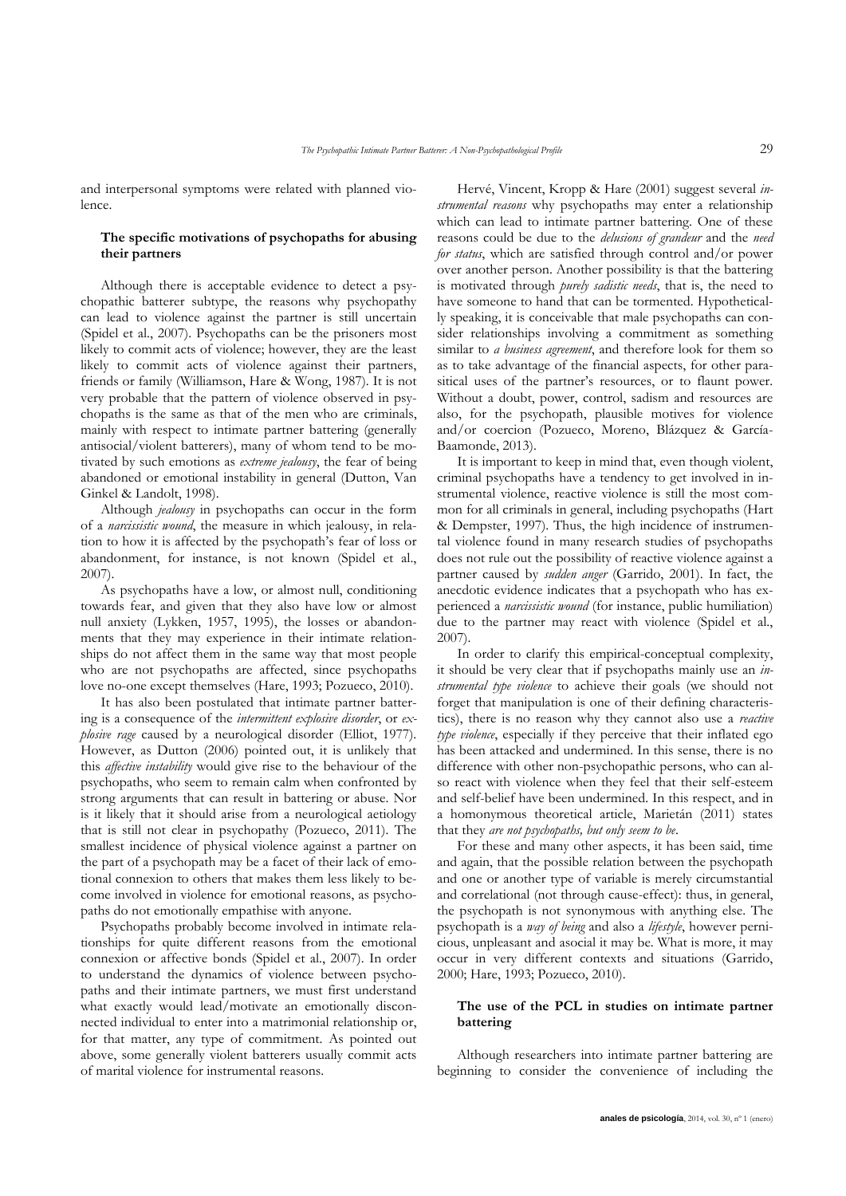and interpersonal symptoms were related with planned violence.

#### **The specific motivations of psychopaths for abusing their partners**

Although there is acceptable evidence to detect a psychopathic batterer subtype, the reasons why psychopathy can lead to violence against the partner is still uncertain (Spidel et al., 2007). Psychopaths can be the prisoners most likely to commit acts of violence; however, they are the least likely to commit acts of violence against their partners, friends or family (Williamson, Hare & Wong, 1987). It is not very probable that the pattern of violence observed in psychopaths is the same as that of the men who are criminals, mainly with respect to intimate partner battering (generally antisocial/violent batterers), many of whom tend to be motivated by such emotions as *extreme jealousy*, the fear of being abandoned or emotional instability in general (Dutton, Van Ginkel & Landolt, 1998).

Although *jealousy* in psychopaths can occur in the form of a *narcissistic wound*, the measure in which jealousy, in relation to how it is affected by the psychopath"s fear of loss or abandonment, for instance, is not known (Spidel et al., 2007).

As psychopaths have a low, or almost null, conditioning towards fear, and given that they also have low or almost null anxiety (Lykken, 1957, 1995), the losses or abandonments that they may experience in their intimate relationships do not affect them in the same way that most people who are not psychopaths are affected, since psychopaths love no-one except themselves (Hare, 1993; Pozueco, 2010).

It has also been postulated that intimate partner battering is a consequence of the *intermittent explosive disorder*, or *explosive rage* caused by a neurological disorder (Elliot, 1977). However, as Dutton (2006) pointed out, it is unlikely that this *affective instability* would give rise to the behaviour of the psychopaths, who seem to remain calm when confronted by strong arguments that can result in battering or abuse. Nor is it likely that it should arise from a neurological aetiology that is still not clear in psychopathy (Pozueco, 2011). The smallest incidence of physical violence against a partner on the part of a psychopath may be a facet of their lack of emotional connexion to others that makes them less likely to become involved in violence for emotional reasons, as psychopaths do not emotionally empathise with anyone.

Psychopaths probably become involved in intimate relationships for quite different reasons from the emotional connexion or affective bonds (Spidel et al., 2007). In order to understand the dynamics of violence between psychopaths and their intimate partners, we must first understand what exactly would lead/motivate an emotionally disconnected individual to enter into a matrimonial relationship or, for that matter, any type of commitment. As pointed out above, some generally violent batterers usually commit acts of marital violence for instrumental reasons.

Hervé, Vincent, Kropp & Hare (2001) suggest several *instrumental reasons* why psychopaths may enter a relationship which can lead to intimate partner battering. One of these reasons could be due to the *delusions of grandeur* and the *need for status*, which are satisfied through control and/or power over another person. Another possibility is that the battering is motivated through *purely sadistic needs*, that is, the need to have someone to hand that can be tormented. Hypothetically speaking, it is conceivable that male psychopaths can consider relationships involving a commitment as something similar to *a business agreement*, and therefore look for them so as to take advantage of the financial aspects, for other parasitical uses of the partner's resources, or to flaunt power. Without a doubt, power, control, sadism and resources are also, for the psychopath, plausible motives for violence and/or coercion (Pozueco, Moreno, Blázquez & García-Baamonde, 2013).

It is important to keep in mind that, even though violent, criminal psychopaths have a tendency to get involved in instrumental violence, reactive violence is still the most common for all criminals in general, including psychopaths (Hart & Dempster, 1997). Thus, the high incidence of instrumental violence found in many research studies of psychopaths does not rule out the possibility of reactive violence against a partner caused by *sudden anger* (Garrido, 2001). In fact, the anecdotic evidence indicates that a psychopath who has experienced a *narcissistic wound* (for instance, public humiliation) due to the partner may react with violence (Spidel et al., 2007).

In order to clarify this empirical-conceptual complexity, it should be very clear that if psychopaths mainly use an *instrumental type violence* to achieve their goals (we should not forget that manipulation is one of their defining characteristics), there is no reason why they cannot also use a *reactive type violence*, especially if they perceive that their inflated ego has been attacked and undermined. In this sense, there is no difference with other non-psychopathic persons, who can also react with violence when they feel that their self-esteem and self-belief have been undermined. In this respect, and in a homonymous theoretical article, Marietán (2011) states that they *are not psychopaths, but only seem to be*.

For these and many other aspects, it has been said, time and again, that the possible relation between the psychopath and one or another type of variable is merely circumstantial and correlational (not through cause-effect): thus, in general, the psychopath is not synonymous with anything else. The psychopath is a *way of being* and also a *lifestyle*, however pernicious, unpleasant and asocial it may be. What is more, it may occur in very different contexts and situations (Garrido, 2000; Hare, 1993; Pozueco, 2010).

#### **The use of the PCL in studies on intimate partner battering**

Although researchers into intimate partner battering are beginning to consider the convenience of including the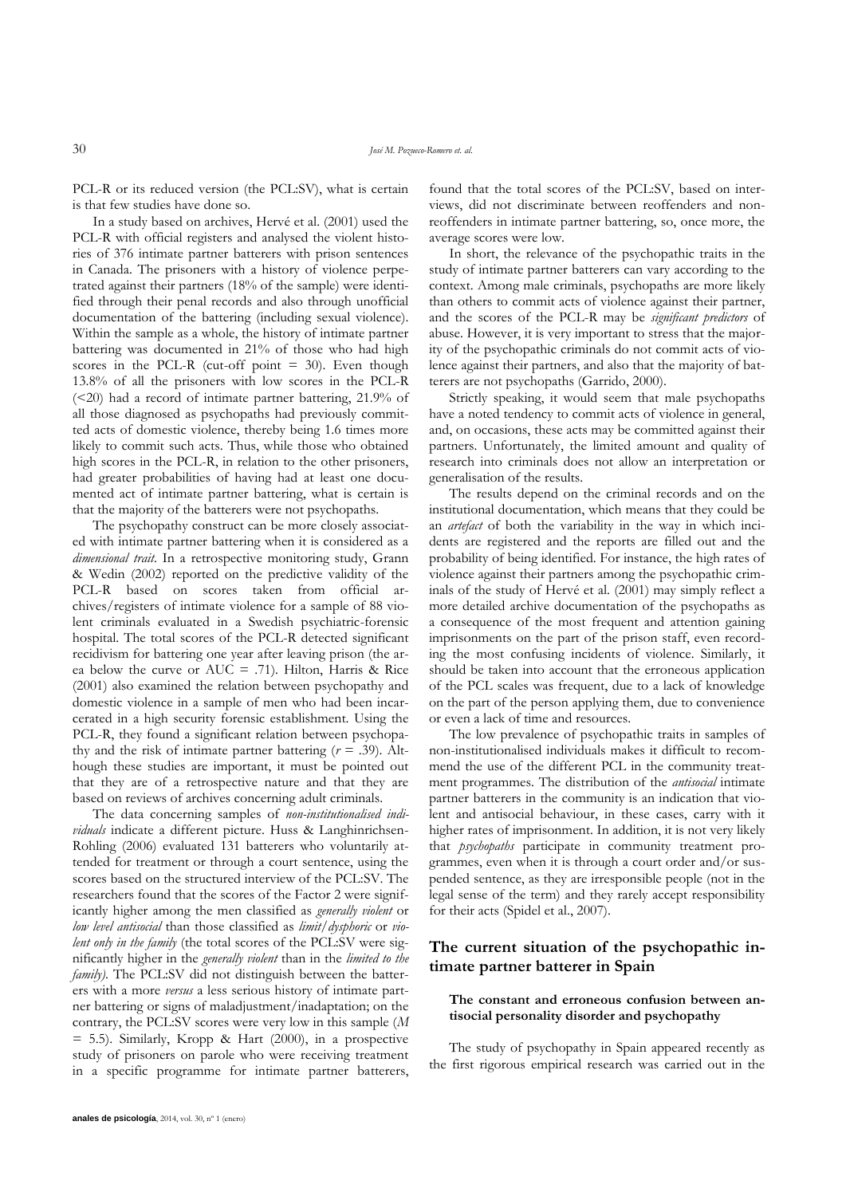PCL-R or its reduced version (the PCL:SV), what is certain is that few studies have done so.

In a study based on archives, Hervé et al. (2001) used the PCL-R with official registers and analysed the violent histories of 376 intimate partner batterers with prison sentences in Canada. The prisoners with a history of violence perpetrated against their partners (18% of the sample) were identified through their penal records and also through unofficial documentation of the battering (including sexual violence). Within the sample as a whole, the history of intimate partner battering was documented in 21% of those who had high scores in the PCL-R (cut-off point  $= 30$ ). Even though 13.8% of all the prisoners with low scores in the PCL-R (<20) had a record of intimate partner battering, 21.9% of all those diagnosed as psychopaths had previously committed acts of domestic violence, thereby being 1.6 times more likely to commit such acts. Thus, while those who obtained high scores in the PCL-R, in relation to the other prisoners, had greater probabilities of having had at least one documented act of intimate partner battering, what is certain is that the majority of the batterers were not psychopaths.

The psychopathy construct can be more closely associated with intimate partner battering when it is considered as a *dimensional trait*. In a retrospective monitoring study, Grann & Wedin (2002) reported on the predictive validity of the PCL-R based on scores taken from official archives/registers of intimate violence for a sample of 88 violent criminals evaluated in a Swedish psychiatric-forensic hospital. The total scores of the PCL-R detected significant recidivism for battering one year after leaving prison (the area below the curve or  $AUC = .71$ ). Hilton, Harris & Rice (2001) also examined the relation between psychopathy and domestic violence in a sample of men who had been incarcerated in a high security forensic establishment. Using the PCL-R, they found a significant relation between psychopathy and the risk of intimate partner battering  $(r = .39)$ . Although these studies are important, it must be pointed out that they are of a retrospective nature and that they are based on reviews of archives concerning adult criminals.

The data concerning samples of *non-institutionalised individuals* indicate a different picture. Huss & Langhinrichsen-Rohling (2006) evaluated 131 batterers who voluntarily attended for treatment or through a court sentence, using the scores based on the structured interview of the PCL:SV. The researchers found that the scores of the Factor 2 were significantly higher among the men classified as *generally violent* or *low level antisocial* than those classified as *limit/dysphoric* or *violent only in the family* (the total scores of the PCL:SV were significantly higher in the *generally violent* than in the *limited to the family)*. The PCL:SV did not distinguish between the batterers with a more *versus* a less serious history of intimate partner battering or signs of maladjustment/inadaptation; on the contrary, the PCL:SV scores were very low in this sample (*M* = 5.5). Similarly, Kropp & Hart (2000), in a prospective study of prisoners on parole who were receiving treatment in a specific programme for intimate partner batterers,

found that the total scores of the PCL:SV, based on interviews, did not discriminate between reoffenders and nonreoffenders in intimate partner battering, so, once more, the average scores were low.

In short, the relevance of the psychopathic traits in the study of intimate partner batterers can vary according to the context. Among male criminals, psychopaths are more likely than others to commit acts of violence against their partner, and the scores of the PCL-R may be *significant predictors* of abuse. However, it is very important to stress that the majority of the psychopathic criminals do not commit acts of violence against their partners, and also that the majority of batterers are not psychopaths (Garrido, 2000).

Strictly speaking, it would seem that male psychopaths have a noted tendency to commit acts of violence in general, and, on occasions, these acts may be committed against their partners. Unfortunately, the limited amount and quality of research into criminals does not allow an interpretation or generalisation of the results.

The results depend on the criminal records and on the institutional documentation, which means that they could be an *artefact* of both the variability in the way in which incidents are registered and the reports are filled out and the probability of being identified. For instance, the high rates of violence against their partners among the psychopathic criminals of the study of Hervé et al. (2001) may simply reflect a more detailed archive documentation of the psychopaths as a consequence of the most frequent and attention gaining imprisonments on the part of the prison staff, even recording the most confusing incidents of violence. Similarly, it should be taken into account that the erroneous application of the PCL scales was frequent, due to a lack of knowledge on the part of the person applying them, due to convenience or even a lack of time and resources.

The low prevalence of psychopathic traits in samples of non-institutionalised individuals makes it difficult to recommend the use of the different PCL in the community treatment programmes. The distribution of the *antisocial* intimate partner batterers in the community is an indication that violent and antisocial behaviour, in these cases, carry with it higher rates of imprisonment. In addition, it is not very likely that *psychopaths* participate in community treatment programmes, even when it is through a court order and/or suspended sentence, as they are irresponsible people (not in the legal sense of the term) and they rarely accept responsibility for their acts (Spidel et al., 2007).

# **The current situation of the psychopathic intimate partner batterer in Spain**

#### **The constant and erroneous confusion between antisocial personality disorder and psychopathy**

The study of psychopathy in Spain appeared recently as the first rigorous empirical research was carried out in the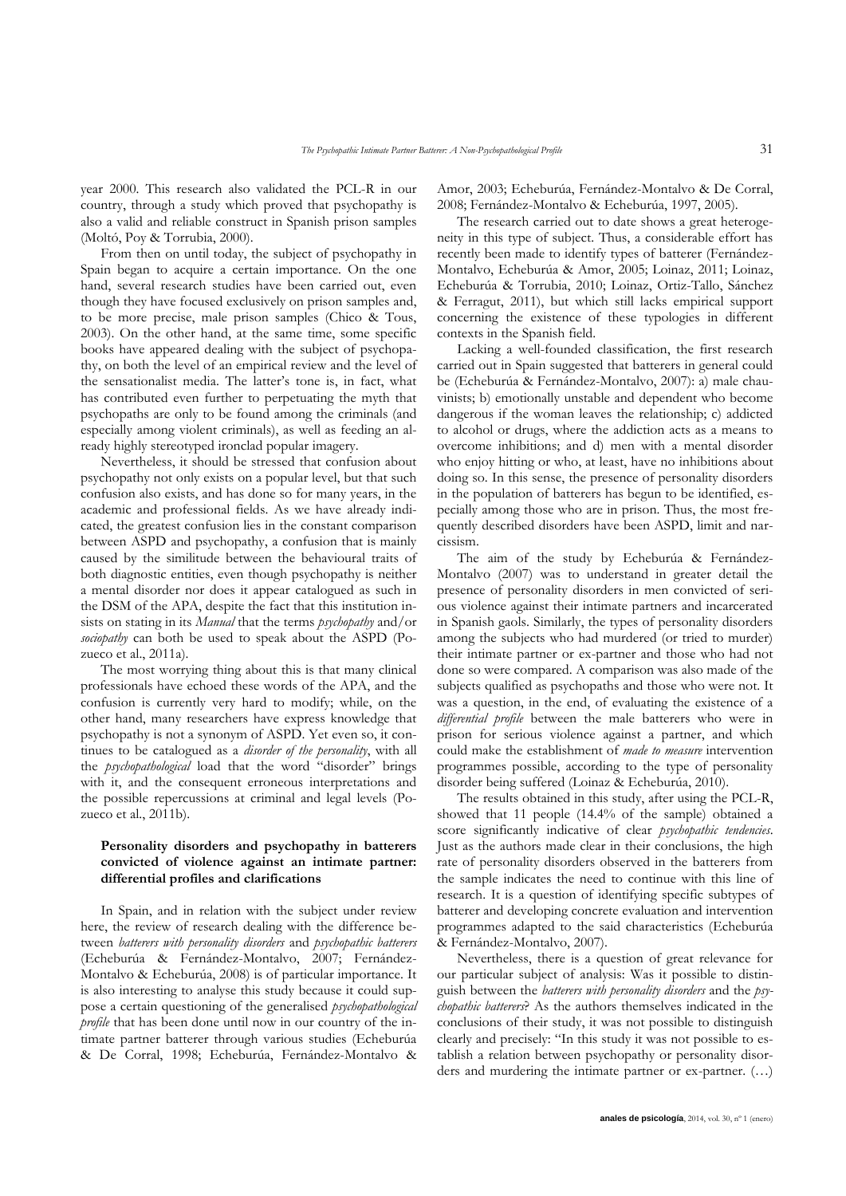year 2000. This research also validated the PCL-R in our country, through a study which proved that psychopathy is also a valid and reliable construct in Spanish prison samples (Moltó, Poy & Torrubia, 2000).

From then on until today, the subject of psychopathy in Spain began to acquire a certain importance. On the one hand, several research studies have been carried out, even though they have focused exclusively on prison samples and, to be more precise, male prison samples (Chico & Tous, 2003). On the other hand, at the same time, some specific books have appeared dealing with the subject of psychopathy, on both the level of an empirical review and the level of the sensationalist media. The latter's tone is, in fact, what has contributed even further to perpetuating the myth that psychopaths are only to be found among the criminals (and especially among violent criminals), as well as feeding an already highly stereotyped ironclad popular imagery.

Nevertheless, it should be stressed that confusion about psychopathy not only exists on a popular level, but that such confusion also exists, and has done so for many years, in the academic and professional fields. As we have already indicated, the greatest confusion lies in the constant comparison between ASPD and psychopathy, a confusion that is mainly caused by the similitude between the behavioural traits of both diagnostic entities, even though psychopathy is neither a mental disorder nor does it appear catalogued as such in the DSM of the APA, despite the fact that this institution insists on stating in its *Manual* that the terms *psychopathy* and/or *sociopathy* can both be used to speak about the ASPD (Pozueco et al., 2011a).

The most worrying thing about this is that many clinical professionals have echoed these words of the APA, and the confusion is currently very hard to modify; while, on the other hand, many researchers have express knowledge that psychopathy is not a synonym of ASPD. Yet even so, it continues to be catalogued as a *disorder of the personality*, with all the *psychopathological* load that the word "disorder" brings with it, and the consequent erroneous interpretations and the possible repercussions at criminal and legal levels (Pozueco et al., 2011b).

#### **Personality disorders and psychopathy in batterers convicted of violence against an intimate partner: differential profiles and clarifications**

In Spain, and in relation with the subject under review here, the review of research dealing with the difference between *batterers with personality disorders* and *psychopathic batterers* (Echeburúa & Fernández-Montalvo, 2007; Fernández-Montalvo & Echeburúa, 2008) is of particular importance. It is also interesting to analyse this study because it could suppose a certain questioning of the generalised *psychopathological profile* that has been done until now in our country of the intimate partner batterer through various studies (Echeburúa & De Corral, 1998; Echeburúa, Fernández-Montalvo & Amor, 2003; Echeburúa, Fernández-Montalvo & De Corral, 2008; Fernández-Montalvo & Echeburúa, 1997, 2005).

The research carried out to date shows a great heterogeneity in this type of subject. Thus, a considerable effort has recently been made to identify types of batterer (Fernández-Montalvo, Echeburúa & Amor, 2005; Loinaz, 2011; Loinaz, Echeburúa & Torrubia, 2010; Loinaz, Ortiz-Tallo, Sánchez & Ferragut, 2011), but which still lacks empirical support concerning the existence of these typologies in different contexts in the Spanish field.

Lacking a well-founded classification, the first research carried out in Spain suggested that batterers in general could be (Echeburúa & Fernández-Montalvo, 2007): a) male chauvinists; b) emotionally unstable and dependent who become dangerous if the woman leaves the relationship; c) addicted to alcohol or drugs, where the addiction acts as a means to overcome inhibitions; and d) men with a mental disorder who enjoy hitting or who, at least, have no inhibitions about doing so. In this sense, the presence of personality disorders in the population of batterers has begun to be identified, especially among those who are in prison. Thus, the most frequently described disorders have been ASPD, limit and narcissism.

The aim of the study by Echeburúa & Fernández-Montalvo (2007) was to understand in greater detail the presence of personality disorders in men convicted of serious violence against their intimate partners and incarcerated in Spanish gaols. Similarly, the types of personality disorders among the subjects who had murdered (or tried to murder) their intimate partner or ex-partner and those who had not done so were compared. A comparison was also made of the subjects qualified as psychopaths and those who were not. It was a question, in the end, of evaluating the existence of a *differential profile* between the male batterers who were in prison for serious violence against a partner, and which could make the establishment of *made to measure* intervention programmes possible, according to the type of personality disorder being suffered (Loinaz & Echeburúa, 2010).

The results obtained in this study, after using the PCL-R, showed that 11 people (14.4% of the sample) obtained a score significantly indicative of clear *psychopathic tendencies*. Just as the authors made clear in their conclusions, the high rate of personality disorders observed in the batterers from the sample indicates the need to continue with this line of research. It is a question of identifying specific subtypes of batterer and developing concrete evaluation and intervention programmes adapted to the said characteristics (Echeburúa & Fernández-Montalvo, 2007).

Nevertheless, there is a question of great relevance for our particular subject of analysis: Was it possible to distinguish between the *batterers with personality disorders* and the *psychopathic batterers*? As the authors themselves indicated in the conclusions of their study, it was not possible to distinguish clearly and precisely: "In this study it was not possible to establish a relation between psychopathy or personality disorders and murdering the intimate partner or ex-partner.  $(...)$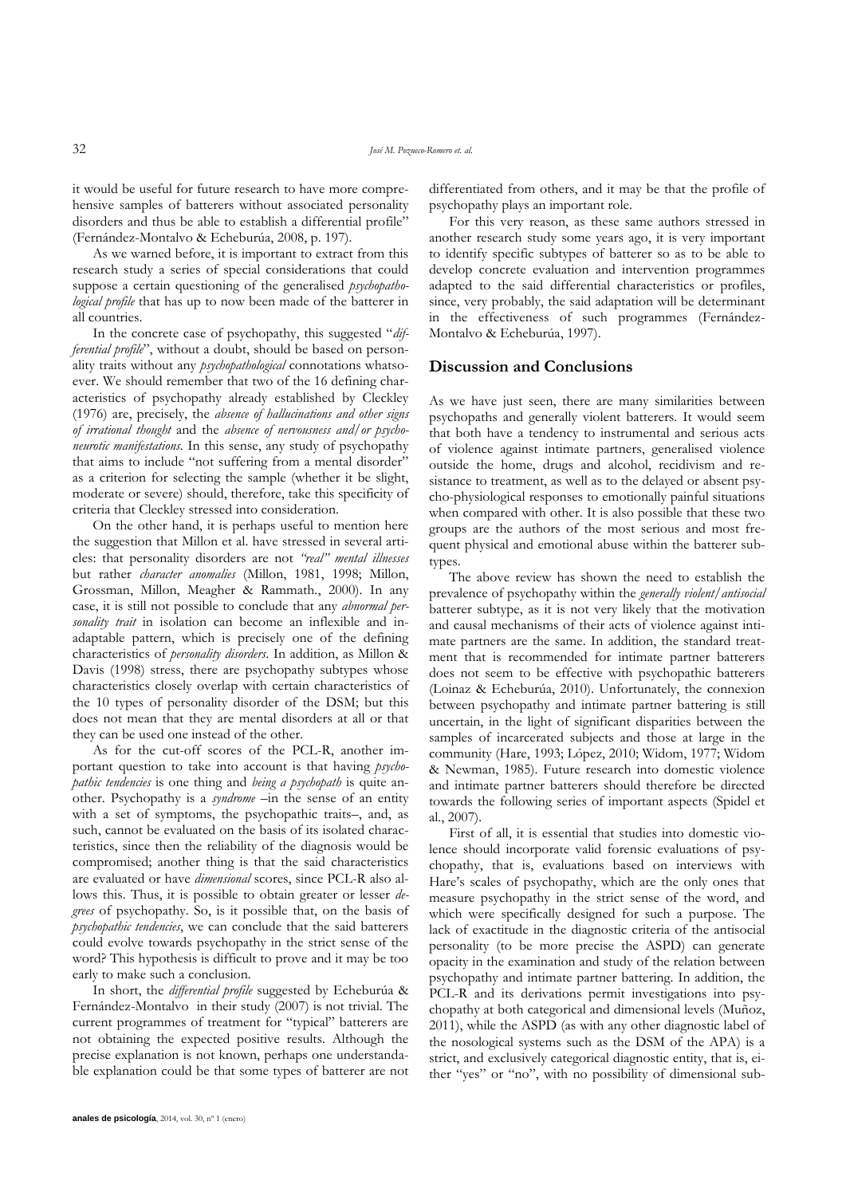it would be useful for future research to have more comprehensive samples of batterers without associated personality disorders and thus be able to establish a differential profile" (Fernández-Montalvo & Echeburúa, 2008, p. 197).

As we warned before, it is important to extract from this research study a series of special considerations that could suppose a certain questioning of the generalised *psychopathological profile* that has up to now been made of the batterer in all countries.

In the concrete case of psychopathy, this suggested "*differential profile*", without a doubt, should be based on personality traits without any *psychopathological* connotations whatsoever. We should remember that two of the 16 defining characteristics of psychopathy already established by Cleckley (1976) are, precisely, the *absence of hallucinations and other signs of irrational thought* and the *absence of nervousness and/or psychoneurotic manifestations*. In this sense, any study of psychopathy that aims to include "not suffering from a mental disorder" as a criterion for selecting the sample (whether it be slight, moderate or severe) should, therefore, take this specificity of criteria that Cleckley stressed into consideration.

On the other hand, it is perhaps useful to mention here the suggestion that Millon et al. have stressed in several articles: that personality disorders are not *"real" mental illnesses* but rather *character anomalies* (Millon, 1981, 1998; Millon, Grossman, Millon, Meagher & Rammath*.*, 2000). In any case, it is still not possible to conclude that any *abnormal personality trait* in isolation can become an inflexible and inadaptable pattern, which is precisely one of the defining characteristics of *personality disorders*. In addition, as Millon & Davis (1998) stress, there are psychopathy subtypes whose characteristics closely overlap with certain characteristics of the 10 types of personality disorder of the DSM; but this does not mean that they are mental disorders at all or that they can be used one instead of the other.

As for the cut-off scores of the PCL-R, another important question to take into account is that having *psychopathic tendencies* is one thing and *being a psychopath* is quite another. Psychopathy is a *syndrome* –in the sense of an entity with a set of symptoms, the psychopathic traits–, and, as such, cannot be evaluated on the basis of its isolated characteristics, since then the reliability of the diagnosis would be compromised; another thing is that the said characteristics are evaluated or have *dimensional* scores, since PCL-R also allows this. Thus, it is possible to obtain greater or lesser *degrees* of psychopathy. So, is it possible that, on the basis of *psychopathic tendencies*, we can conclude that the said batterers could evolve towards psychopathy in the strict sense of the word? This hypothesis is difficult to prove and it may be too early to make such a conclusion.

In short, the *differential profile* suggested by Echeburúa & Fernández-Montalvo in their study (2007) is not trivial. The current programmes of treatment for "typical" batterers are not obtaining the expected positive results. Although the precise explanation is not known, perhaps one understandable explanation could be that some types of batterer are not differentiated from others, and it may be that the profile of psychopathy plays an important role.

For this very reason, as these same authors stressed in another research study some years ago, it is very important to identify specific subtypes of batterer so as to be able to develop concrete evaluation and intervention programmes adapted to the said differential characteristics or profiles, since, very probably, the said adaptation will be determinant in the effectiveness of such programmes (Fernández-Montalvo & Echeburúa, 1997).

#### **Discussion and Conclusions**

As we have just seen, there are many similarities between psychopaths and generally violent batterers. It would seem that both have a tendency to instrumental and serious acts of violence against intimate partners, generalised violence outside the home, drugs and alcohol, recidivism and resistance to treatment, as well as to the delayed or absent psycho-physiological responses to emotionally painful situations when compared with other. It is also possible that these two groups are the authors of the most serious and most frequent physical and emotional abuse within the batterer subtypes.

The above review has shown the need to establish the prevalence of psychopathy within the *generally violent/antisocial* batterer subtype, as it is not very likely that the motivation and causal mechanisms of their acts of violence against intimate partners are the same. In addition, the standard treatment that is recommended for intimate partner batterers does not seem to be effective with psychopathic batterers (Loinaz & Echeburúa, 2010). Unfortunately, the connexion between psychopathy and intimate partner battering is still uncertain, in the light of significant disparities between the samples of incarcerated subjects and those at large in the community (Hare, 1993; López, 2010; Widom, 1977; Widom & Newman, 1985). Future research into domestic violence and intimate partner batterers should therefore be directed towards the following series of important aspects (Spidel et al., 2007).

First of all, it is essential that studies into domestic violence should incorporate valid forensic evaluations of psychopathy, that is, evaluations based on interviews with Hare's scales of psychopathy, which are the only ones that measure psychopathy in the strict sense of the word, and which were specifically designed for such a purpose. The lack of exactitude in the diagnostic criteria of the antisocial personality (to be more precise the ASPD) can generate opacity in the examination and study of the relation between psychopathy and intimate partner battering. In addition, the PCL-R and its derivations permit investigations into psychopathy at both categorical and dimensional levels (Muñoz, 2011), while the ASPD (as with any other diagnostic label of the nosological systems such as the DSM of the APA) is a strict, and exclusively categorical diagnostic entity, that is, either "yes" or "no", with no possibility of dimensional sub-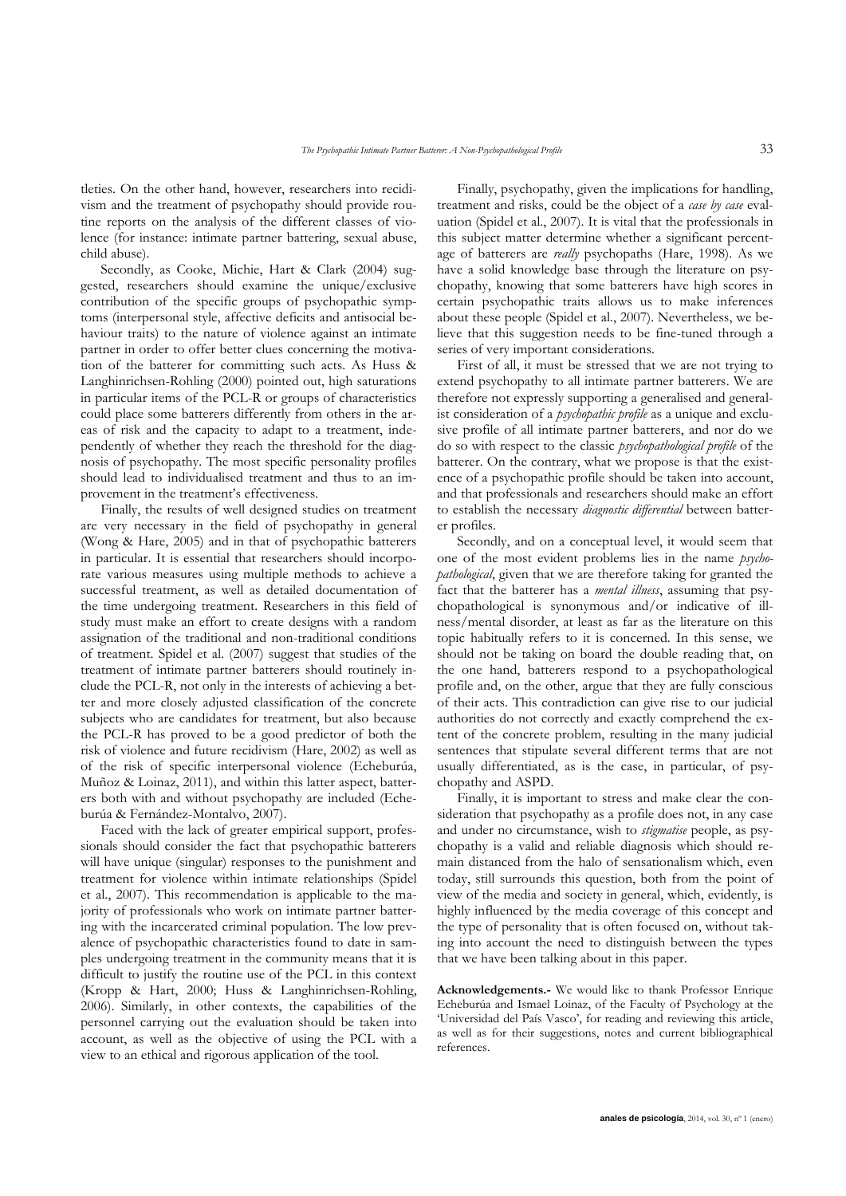tleties. On the other hand, however, researchers into recidivism and the treatment of psychopathy should provide routine reports on the analysis of the different classes of violence (for instance: intimate partner battering, sexual abuse, child abuse).

Secondly, as Cooke, Michie, Hart & Clark (2004) suggested, researchers should examine the unique/exclusive contribution of the specific groups of psychopathic symptoms (interpersonal style, affective deficits and antisocial behaviour traits) to the nature of violence against an intimate partner in order to offer better clues concerning the motivation of the batterer for committing such acts. As Huss & Langhinrichsen-Rohling (2000) pointed out, high saturations in particular items of the PCL-R or groups of characteristics could place some batterers differently from others in the areas of risk and the capacity to adapt to a treatment, independently of whether they reach the threshold for the diagnosis of psychopathy. The most specific personality profiles should lead to individualised treatment and thus to an improvement in the treatment's effectiveness.

Finally, the results of well designed studies on treatment are very necessary in the field of psychopathy in general (Wong & Hare, 2005) and in that of psychopathic batterers in particular. It is essential that researchers should incorporate various measures using multiple methods to achieve a successful treatment, as well as detailed documentation of the time undergoing treatment. Researchers in this field of study must make an effort to create designs with a random assignation of the traditional and non-traditional conditions of treatment. Spidel et al. (2007) suggest that studies of the treatment of intimate partner batterers should routinely include the PCL-R, not only in the interests of achieving a better and more closely adjusted classification of the concrete subjects who are candidates for treatment, but also because the PCL-R has proved to be a good predictor of both the risk of violence and future recidivism (Hare, 2002) as well as of the risk of specific interpersonal violence (Echeburúa, Muñoz & Loinaz, 2011), and within this latter aspect, batterers both with and without psychopathy are included (Echeburúa & Fernández-Montalvo, 2007).

Faced with the lack of greater empirical support, professionals should consider the fact that psychopathic batterers will have unique (singular) responses to the punishment and treatment for violence within intimate relationships (Spidel et al., 2007). This recommendation is applicable to the majority of professionals who work on intimate partner battering with the incarcerated criminal population. The low prevalence of psychopathic characteristics found to date in samples undergoing treatment in the community means that it is difficult to justify the routine use of the PCL in this context (Kropp & Hart, 2000; Huss & Langhinrichsen-Rohling, 2006). Similarly, in other contexts, the capabilities of the personnel carrying out the evaluation should be taken into account, as well as the objective of using the PCL with a view to an ethical and rigorous application of the tool.

Finally, psychopathy, given the implications for handling, treatment and risks, could be the object of a *case by case* evaluation (Spidel et al., 2007). It is vital that the professionals in this subject matter determine whether a significant percentage of batterers are *really* psychopaths (Hare, 1998). As we have a solid knowledge base through the literature on psychopathy, knowing that some batterers have high scores in certain psychopathic traits allows us to make inferences about these people (Spidel et al., 2007). Nevertheless, we believe that this suggestion needs to be fine-tuned through a series of very important considerations.

First of all, it must be stressed that we are not trying to extend psychopathy to all intimate partner batterers. We are therefore not expressly supporting a generalised and generalist consideration of a *psychopathic profile* as a unique and exclusive profile of all intimate partner batterers, and nor do we do so with respect to the classic *psychopathological profile* of the batterer. On the contrary, what we propose is that the existence of a psychopathic profile should be taken into account, and that professionals and researchers should make an effort to establish the necessary *diagnostic differential* between batterer profiles.

Secondly, and on a conceptual level, it would seem that one of the most evident problems lies in the name *psychopathological*, given that we are therefore taking for granted the fact that the batterer has a *mental illness*, assuming that psychopathological is synonymous and/or indicative of illness/mental disorder, at least as far as the literature on this topic habitually refers to it is concerned. In this sense, we should not be taking on board the double reading that, on the one hand, batterers respond to a psychopathological profile and, on the other, argue that they are fully conscious of their acts. This contradiction can give rise to our judicial authorities do not correctly and exactly comprehend the extent of the concrete problem, resulting in the many judicial sentences that stipulate several different terms that are not usually differentiated, as is the case, in particular, of psychopathy and ASPD.

Finally, it is important to stress and make clear the consideration that psychopathy as a profile does not, in any case and under no circumstance, wish to *stigmatise* people, as psychopathy is a valid and reliable diagnosis which should remain distanced from the halo of sensationalism which, even today, still surrounds this question, both from the point of view of the media and society in general, which, evidently, is highly influenced by the media coverage of this concept and the type of personality that is often focused on, without taking into account the need to distinguish between the types that we have been talking about in this paper.

**Acknowledgements.-** We would like to thank Professor Enrique Echeburúa and Ismael Loinaz, of the Faculty of Psychology at the 'Universidad del País Vasco', for reading and reviewing this article, as well as for their suggestions, notes and current bibliographical references.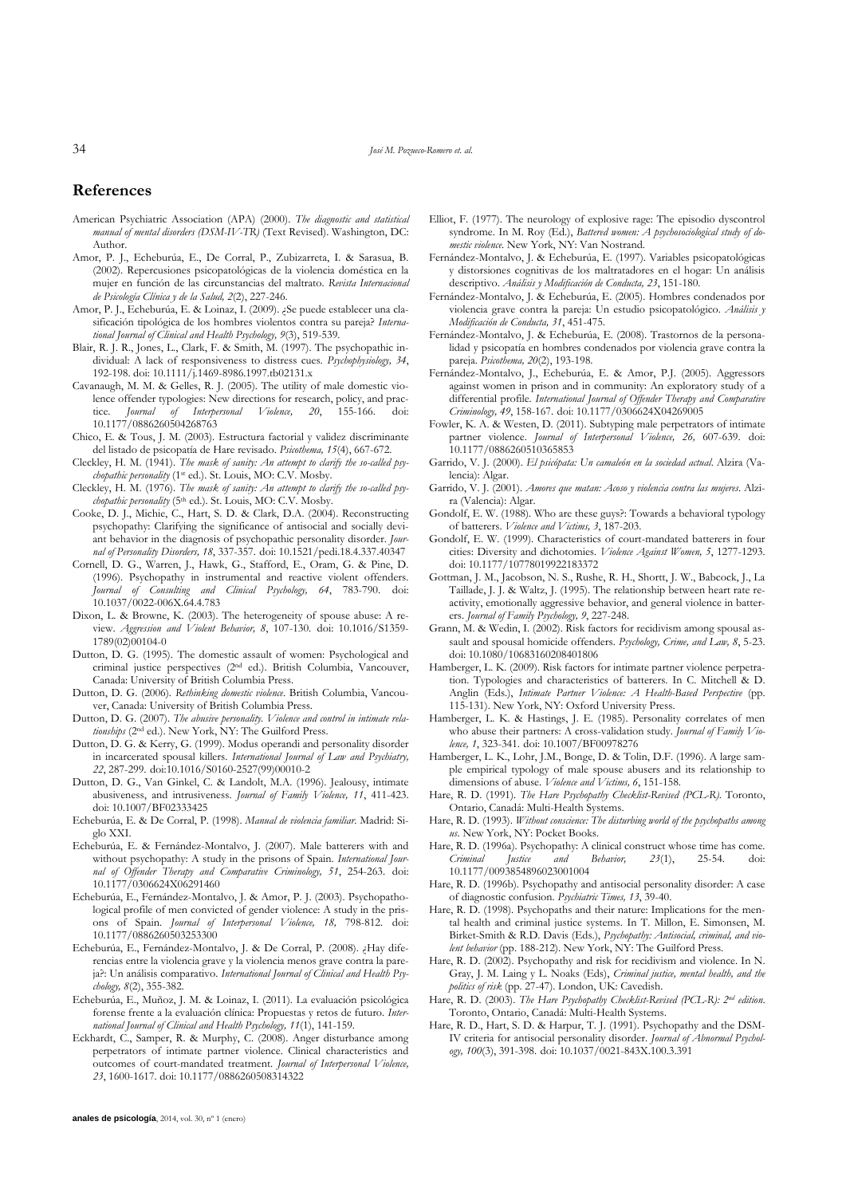# **References**

- American Psychiatric Association (APA) (2000). *The diagnostic and statistical manual of mental disorders (DSM-IV-TR)* (Text Revised). Washington, DC: Author.
- Amor, P. J., Echeburúa, E., De Corral, P., Zubizarreta, I. & Sarasua, B. (2002). Repercusiones psicopatológicas de la violencia doméstica en la mujer en función de las circunstancias del maltrato. *Revista Internacional de Psicología Clínica y de la Salud, 2*(2), 227-246.
- Amor, P. J., Echeburúa, E. & Loinaz, I. (2009). ¿Se puede establecer una clasificación tipológica de los hombres violentos contra su pareja? *International Journal of Clinical and Health Psychology, 9*(3), 519-539.
- Blair, R. J. R., Jones, L., Clark, F. & Smith, M. (1997). The psychopathic individual: A lack of responsiveness to distress cues. *Psychophysiology, 34*, 192-198. doi: 10.1111/j.1469-8986.1997.tb02131.x
- Cavanaugh, M. M. & Gelles, R. J. (2005). The utility of male domestic violence offender typologies: New directions for research, policy, and practice. *Journal of Interpersonal Violence, 20*, 155-166. doi: 10.1177/0886260504268763
- Chico, E. & Tous, J. M. (2003). Estructura factorial y validez discriminante del listado de psicopatía de Hare revisado. *Psicothema, 15*(4), 667-672.
- Cleckley, H. M. (1941). *The mask of sanity: An attempt to clarify the so-called psychopathic personality* (1st ed.). St. Louis, MO: C.V. Mosby.
- Cleckley, H. M. (1976). *The mask of sanity: An attempt to clarify the so-called psychopathic personality* (5th ed.). St. Louis, MO: C.V. Mosby.
- Cooke, D. J., Michie, C., Hart, S. D. & Clark, D.A. (2004). Reconstructing psychopathy: Clarifying the significance of antisocial and socially deviant behavior in the diagnosis of psychopathic personality disorder. *Journal of Personality Disorders, 18*, 337-357. doi: 10.1521/pedi.18.4.337.40347
- Cornell, D. G., Warren, J., Hawk, G., Stafford, E., Oram, G. & Pine, D. (1996). Psychopathy in instrumental and reactive violent offenders. *Journal of Consulting and Clinical Psychology, 64*, 783-790. doi: 10.1037/0022-006X.64.4.783
- Dixon, L. & Browne, K. (2003). The heterogeneity of spouse abuse: A review. *Aggression and Violent Behavior, 8*, 107-130. doi: 10.1016/S1359- 1789(02)00104-0
- Dutton, D. G. (1995). The domestic assault of women: Psychological and criminal justice perspectives (2nd ed.). British Columbia, Vancouver, Canada: University of British Columbia Press.
- Dutton, D. G. (2006). *Rethinking domestic violence*. British Columbia, Vancouver, Canada: University of British Columbia Press.
- Dutton, D. G. (2007). *The abusive personality. Violence and control in intimate relationships* (2nd ed.). New York, NY: The Guilford Press.
- Dutton, D. G. & Kerry, G. (1999). Modus operandi and personality disorder in incarcerated spousal killers. *International Journal of Law and Psychiatry, 22*, 287-299. doi:10.1016/S0160-2527(99)00010-2
- Dutton, D. G., Van Ginkel, C. & Landolt, M.A. (1996). Jealousy, intimate abusiveness, and intrusiveness. *Journal of Family Violence, 11*, 411-423. doi: 10.1007/BF02333425
- Echeburúa, E. & De Corral, P. (1998). *Manual de violencia familiar*. Madrid: Siglo XXI.
- Echeburúa, E. & Fernández-Montalvo, J. (2007). Male batterers with and without psychopathy: A study in the prisons of Spain. *International Journal of Offender Therapy and Comparative Criminology, 51*, 254-263. doi: 10.1177/0306624X06291460
- Echeburúa, E., Fernández-Montalvo, J. & Amor, P. J. (2003). Psychopathological profile of men convicted of gender violence: A study in the prisons of Spain. *Journal of Interpersonal Violence, 18,* 798-812. doi: 10.1177/0886260503253300
- Echeburúa, E., Fernández-Montalvo, J. & De Corral, P. (2008). ¿Hay diferencias entre la violencia grave y la violencia menos grave contra la pareja?: Un análisis comparativo. *International Journal of Clinical and Health Psychology, 8*(2), 355-382.
- Echeburúa, E., Muñoz, J. M. & Loinaz, I. (2011). La evaluación psicológica forense frente a la evaluación clínica: Propuestas y retos de futuro. *International Journal of Clinical and Health Psychology, 11*(1), 141-159.
- Eckhardt, C., Samper, R. & Murphy, C. (2008). Anger disturbance among perpetrators of intimate partner violence. Clinical characteristics and outcomes of court-mandated treatment. *Journal of Interpersonal Violence, 23*, 1600-1617. doi: 10.1177/0886260508314322
- Elliot, F. (1977). The neurology of explosive rage: The episodio dyscontrol syndrome. In M. Roy (Ed.), *Battered women: A psychosociological study of domestic violence*. New York, NY: Van Nostrand.
- Fernández-Montalvo, J. & Echeburúa, E. (1997). Variables psicopatológicas y distorsiones cognitivas de los maltratadores en el hogar: Un análisis descriptivo. *Análisis y Modificación de Conducta, 23*, 151-180.
- Fernández-Montalvo, J. & Echeburúa, E. (2005). Hombres condenados por violencia grave contra la pareja: Un estudio psicopatológico. *Análisis y Modificación de Conducta, 31*, 451-475.
- Fernández-Montalvo, J. & Echeburúa, E. (2008). Trastornos de la personalidad y psicopatía en hombres condenados por violencia grave contra la pareja. *Psicothema, 20*(2), 193-198.
- Fernández-Montalvo, J., Echeburúa, E. & Amor, P.J. (2005). Aggressors against women in prison and in community: An exploratory study of a differential profile. *International Journal of Offender Therapy and Comparative Criminology, 49*, 158-167. doi: 10.1177/0306624X04269005
- Fowler, K. A. & Westen, D. (2011). Subtyping male perpetrators of intimate partner violence. *Journal of Interpersonal Violence, 26,* 607-639. doi: 10.1177/0886260510365853
- Garrido, V. J. (2000). *El psicópata: Un camaleón en la sociedad actual*. Alzira (Valencia): Algar.
- Garrido, V. J. (2001). *Amores que matan: Acoso y violencia contra las mujeres*. Alzira (Valencia): Algar.
- Gondolf, E. W. (1988). Who are these guys?: Towards a behavioral typology of batterers. *Violence and Victims, 3*, 187-203.
- Gondolf, E. W. (1999). Characteristics of court-mandated batterers in four cities: Diversity and dichotomies. *Violence Against Women, 5*, 1277-1293. doi: 10.1177/10778019922183372
- Gottman, J. M., Jacobson, N. S., Rushe, R. H., Shortt, J. W., Babcock, J., La Taillade, J. J. & Waltz, J. (1995). The relationship between heart rate reactivity, emotionally aggressive behavior, and general violence in batterers. *Journal of Family Psychology, 9*, 227-248.
- Grann, M. & Wedin, I. (2002). Risk factors for recidivism among spousal assault and spousal homicide offenders. *Psychology, Crime, and Law, 8*, 5-23. doi: 10.1080/10683160208401806
- Hamberger, L. K. (2009). Risk factors for intimate partner violence perpetration. Typologies and characteristics of batterers. In C. Mitchell & D. Anglin (Eds.), *Intimate Partner Violence: A Health-Based Perspective* (pp. 115-131). New York, NY: Oxford University Press.
- Hamberger, L. K. & Hastings, J. E. (1985). Personality correlates of men who abuse their partners: A cross-validation study. *Journal of Family Violence, 1*, 323-341. doi: 10.1007/BF00978276
- Hamberger, L. K., Lohr, J.M., Bonge, D. & Tolin, D.F. (1996). A large sample empirical typology of male spouse abusers and its relationship to dimensions of abuse. *Violence and Victims, 6*, 151-158.
- Hare, R. D. (1991). *The Hare Psychopathy Checklist-Revised (PCL-R)*. Toronto, Ontario, Canadá: Multi-Health Systems.
- Hare, R. D. (1993). *Without conscience: The disturbing world of the psychopaths among us*. New York, NY: Pocket Books.
- Hare, R. D. (1996a). Psychopathy: A clinical construct whose time has come. *Criminal Justice and Behavior, 23*(1), 25-54. doi: 10.1177/0093854896023001004
- Hare, R. D. (1996b). Psychopathy and antisocial personality disorder: A case of diagnostic confusion. *Psychiatric Times, 13*, 39-40.
- Hare, R. D. (1998). Psychopaths and their nature: Implications for the mental health and criminal justice systems. In T. Millon, E. Simonsen, M. Birket-Smith & R.D. Davis (Eds.), *Psychopathy: Antisocial, criminal, and violent behavior* (pp. 188-212). New York, NY: The Guilford Press.
- Hare, R. D. (2002). Psychopathy and risk for recidivism and violence. In N. Gray, J. M. Laing y L. Noaks (Eds), *Criminal justice, mental health, and the politics of risk* (pp. 27-47). London, UK: Cavedish.
- Hare, R. D. (2003). *The Hare Psychopathy Checklist-Revised (PCL-R): 2nd edition*. Toronto, Ontario, Canadá: Multi-Health Systems.
- Hare, R. D., Hart, S. D. & Harpur, T. J. (1991). Psychopathy and the DSM-IV criteria for antisocial personality disorder. *Journal of Abnormal Psychology, 100*(3), 391-398. doi: 10.1037/0021-843X.100.3.391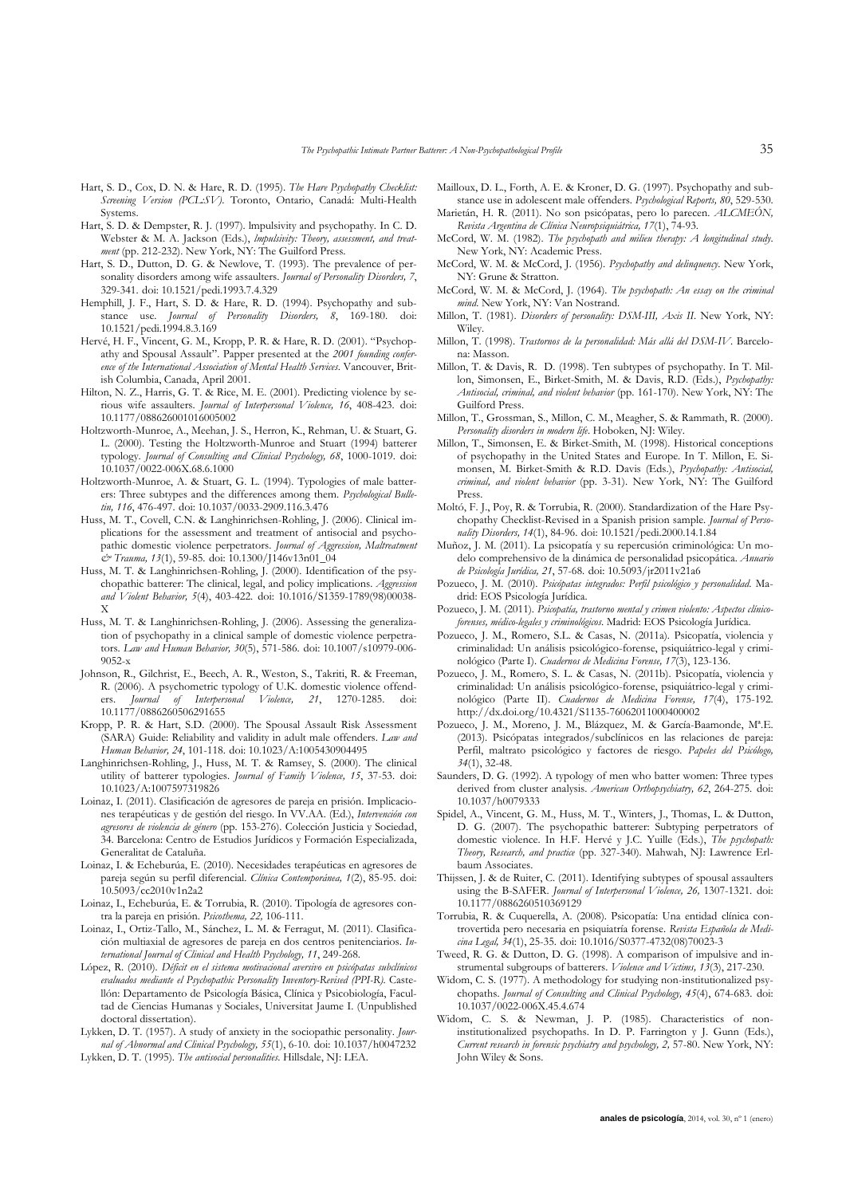- Hart, S. D., Cox, D. N. & Hare, R. D. (1995). *The Hare Psychopathy Checklist: Screening Version (PCL:SV)*. Toronto, Ontario, Canadá: Multi-Health **Systems**.
- Hart, S. D. & Dempster, R. J. (1997). lmpulsivity and psychopathy. In C. D. Webster & M. A. Jackson (Eds.), *lmpulsivity: Theory, assessment, and treatment* (pp. 212-232). New York, NY: The Guilford Press.
- Hart, S. D., Dutton, D. G. & Newlove, T. (1993). The prevalence of personality disorders among wife assaulters. *Journal of Personality Disorders, 7*, 329-341. doi: 10.1521/pedi.1993.7.4.329
- Hemphill, J. F., Hart, S. D. & Hare, R. D. (1994). Psychopathy and substance use. *Journal of Personality Disorders, 8*, 169-180. doi: 10.1521/pedi.1994.8.3.169
- Hervé, H. F., Vincent, G. M., Kropp, P. R. & Hare, R. D. (2001). "Psychopathy and Spousal Assault". Papper presented at the *2001 founding conference of the International Association of Mental Health Services*. Vancouver, British Columbia, Canada, April 2001.
- Hilton, N. Z., Harris, G. T. & Rice, M. E. (2001). Predicting violence by serious wife assaulters. *Journal of Interpersonal Violence, 16*, 408-423. doi: 10.1177/088626001016005002
- Holtzworth-Munroe, A., Meehan, J. S., Herron, K., Rehman, U. & Stuart, G. L. (2000). Testing the Holtzworth-Munroe and Stuart (1994) batterer typology. *Journal of Consulting and Clinical Psychology, 68*, 1000-1019. doi: 10.1037/0022-006X.68.6.1000
- Holtzworth-Munroe, A. & Stuart, G. L. (1994). Typologies of male batterers: Three subtypes and the differences among them. *Psychological Bulletin, 116*, 476-497. doi: 10.1037/0033-2909.116.3.476
- Huss, M. T., Covell, C.N. & Langhinrichsen-Rohling, J. (2006). Clinical implications for the assessment and treatment of antisocial and psychopathic domestic violence perpetrators. *Journal of Aggression, Maltreatment & Trauma, 13*(1), 59-85. doi: 10.1300/J146v13n01\_04
- Huss, M. T. & Langhinrichsen-Rohling, J. (2000). Identification of the psychopathic batterer: The clinical, legal, and policy implications. *Aggression and Violent Behavior, 5*(4), 403-422. doi: 10.1016/S1359-1789(98)00038- X
- Huss, M. T. & Langhinrichsen-Rohling, J. (2006). Assessing the generalization of psychopathy in a clinical sample of domestic violence perpetrators. *Law and Human Behavior, 30*(5), 571-586. doi: 10.1007/s10979-006- 9052-x
- Johnson, R., Gilchrist, E., Beech, A. R., Weston, S., Takriti, R. & Freeman, R. (2006). A psychometric typology of U.K. domestic violence offenders. *Journal of Interpersonal Violence, 21*, 1270-1285. doi: 10.1177/0886260506291655
- Kropp, P. R. & Hart, S.D. (2000). The Spousal Assault Risk Assessment (SARA) Guide: Reliability and validity in adult male offenders. *Law and Human Behavior, 24*, 101-118. doi: 10.1023/A:1005430904495
- Langhinrichsen-Rohling, J., Huss, M. T. & Ramsey, S. (2000). The clinical utility of batterer typologies. *Journal of Family Violence, 15*, 37-53. doi: 10.1023/A:1007597319826
- Loinaz, I. (2011). Clasificación de agresores de pareja en prisión. Implicaciones terapéuticas y de gestión del riesgo. In VV.AA. (Ed.), *Intervención con agresores de violencia de género* (pp. 153-276). Colección Justicia y Sociedad, 34. Barcelona: Centro de Estudios Jurídicos y Formación Especializada, Generalitat de Cataluña.
- Loinaz, I. & Echeburúa, E. (2010). Necesidades terapéuticas en agresores de pareja según su perfil diferencial. *Clínica Contemporánea, 1*(2), 85-95. doi: 10.5093/cc2010v1n2a2
- Loinaz, I., Echeburúa, E. & Torrubia, R. (2010). Tipología de agresores contra la pareja en prisión. *Psicothema, 22,* 106-111.
- Loinaz, I., Ortiz-Tallo, M., Sánchez, L. M. & Ferragut, M. (2011). Clasificación multiaxial de agresores de pareja en dos centros penitenciarios. *International Journal of Clinical and Health Psychology, 11*, 249-268.
- López, R. (2010). *Déficit en el sistema motivacional aversivo en psicópatas subclínicos evaluados mediante el Psychopathic Personality Inventory-Revised (PPI-R)*. Castellón: Departamento de Psicología Básica, Clínica y Psicobiología, Facultad de Ciencias Humanas y Sociales, Universitat Jaume I. (Unpublished doctoral dissertation).
- Lykken, D. T. (1957). A study of anxiety in the sociopathic personality. *Journal of Abnormal and Clinical Psychology, 55*(1), 6-10. doi: 10.1037/h0047232
- Lykken, D. T. (1995). *The antisocial personalities*. Hillsdale, NJ: LEA.
- Mailloux, D. L., Forth, A. E. & Kroner, D. G. (1997). Psychopathy and substance use in adolescent male offenders. *Psychological Reports, 80*, 529-530.
- Marietán, H. R. (2011). No son psicópatas, pero lo parecen. *ALCMEÓN, Revista Argentina de Clínica Neuropsiquiátrica, 17*(1), 74-93.
- McCord, W. M. (1982). *The psychopath and milieu therapy: A longitudinal study*. New York, NY: Academic Press.
- McCord, W. M. & McCord, J. (1956). *Psychopathy and delinquency*. New York, NY: Grune & Stratton.
- McCord, W. M. & McCord, J. (1964). *The psychopath: An essay on the criminal mind*. New York, NY: Van Nostrand.
- Millon, T. (1981). *Disorders of personality: DSM-III, Axis II*. New York, NY: Wiley.
- Millon, T. (1998). *Trastornos de la personalidad: Más allá del DSM*-*IV*. Barcelona: Masson.
- Millon, T. & Davis, R. D. (1998). Ten subtypes of psychopathy. In T. Millon, Simonsen, E., Birket-Smith, M. & Davis, R.D. (Eds.), *Psychopathy: Antisocial, criminal, and violent behavior* (pp. 161-170). New York, NY: The Guilford Press.
- Millon, T., Grossman, S., Millon, C. M., Meagher, S. & Rammath, R. (2000). *Personality disorders in modern life*. Hoboken, NJ: Wiley.
- Millon, T., Simonsen, E. & Birket-Smith, M. (1998). Historical conceptions of psychopathy in the United States and Europe. In T. Millon, E. Simonsen, M. Birket-Smith & R.D. Davis (Eds.), *Psychopathy: Antisocial, criminal, and violent behavior* (pp. 3-31). New York, NY: The Guilford Press.
- Moltó, F. J., Poy, R. & Torrubia, R. (2000). Standardization of the Hare Psychopathy Checklist-Revised in a Spanish prision sample. *Journal of Personality Disorders, 14*(1), 84-96. doi: 10.1521/pedi.2000.14.1.84
- Muñoz, J. M. (2011). La psicopatía y su repercusión criminológica: Un modelo comprehensivo de la dinámica de personalidad psicopática. *Anuario de Psicología Jurídica, 21*, 57-68. doi: 10.5093/jr2011v21a6
- Pozueco, J. M. (2010). *Psicópatas integrados: Perfil psicológico y personalidad*. Madrid: EOS Psicología Jurídica.
- Pozueco, J. M. (2011). *Psicopatía, trastorno mental y crimen violento: Aspectos clínicoforenses, médico-legales y criminológicos*. Madrid: EOS Psicología Jurídica.
- Pozueco, J. M., Romero, S.L. & Casas, N. (2011a). Psicopatía, violencia y criminalidad: Un análisis psicológico-forense, psiquiátrico-legal y criminológico (Parte I). *Cuadernos de Medicina Forense, 17*(3), 123-136.
- Pozueco, J. M., Romero, S. L. & Casas, N. (2011b). Psicopatía, violencia y criminalidad: Un análisis psicológico-forense, psiquiátrico-legal y criminológico (Parte II). *Cuadernos de Medicina Forense, 17*(4), 175-192. http://dx.doi.org/10.4321/S1135-76062011000400002
- Pozueco, J. M., Moreno, J. M., Blázquez, M. & García-Baamonde, Mª.E. (2013). Psicópatas integrados/subclínicos en las relaciones de pareja: Perfil, maltrato psicológico y factores de riesgo. *Papeles del Psicólogo, 34*(1), 32-48.
- Saunders, D. G. (1992). A typology of men who batter women: Three types derived from cluster analysis. *American Orthopsychiatry, 62*, 264-275. doi: 10.1037/h0079333
- Spidel, A., Vincent, G. M., Huss, M. T., Winters, J., Thomas, L. & Dutton, D. G. (2007). The psychopathic batterer: Subtyping perpetrators of domestic violence. In H.F. Hervé y J.C. Yuille (Eds.), *The psychopath: Theory, Research, and practice* (pp. 327-340). Mahwah, NJ: Lawrence Erlbaum Associates.
- Thijssen, J. & de Ruiter, C. (2011). Identifying subtypes of spousal assaulters using the B-SAFER. *Journal of Interpersonal Violence, 26,* 1307-1321. doi: 10.1177/0886260510369129
- Torrubia, R. & Cuquerella, A. (2008). Psicopatía: Una entidad clínica controvertida pero necesaria en psiquiatría forense. *Revista Española de Medicina Legal, 34*(1), 25-35. doi: 10.1016/S0377-4732(08)70023-3
- Tweed, R. G. & Dutton, D. G. (1998). A comparison of impulsive and instrumental subgroups of batterers. *Violence and Victims, 13*(3), 217-230.
- Widom, C. S. (1977). A methodology for studying non-institutionalized psychopaths. *Journal of Consulting and Clinical Psychology, 45*(4), 674-683. doi: 10.1037/0022-006X.45.4.674
- Widom, C. S. & Newman, J. P. (1985). Characteristics of noninstitutionalized psychopaths. In D. P. Farrington y J. Gunn (Eds.), *Current research in forensic psychiatry and psychology, 2, 57-80.* New York, NY: John Wiley & Sons.